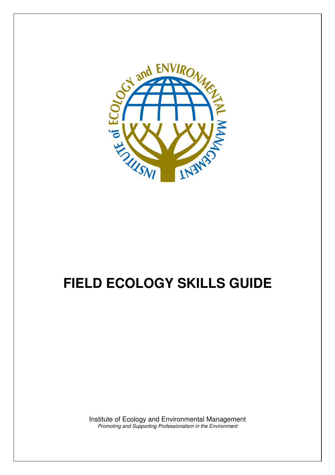

## **FIELD ECOLOGY SKILLS GUIDE**

Institute of Ecology and Environmental Management Promoting and Supporting Professionalism in the Environment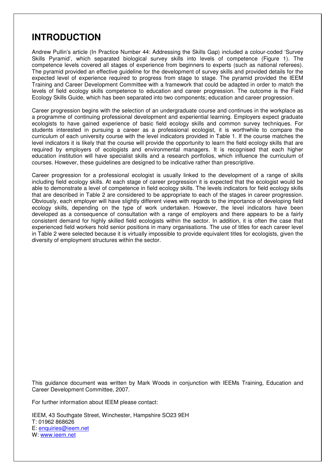## **INTRODUCTION**

Andrew Pullin's article (In Practice Number 44: Addressing the Skills Gap) included a colour-coded 'Survey Skills Pyramid', which separated biological survey skills into levels of competence (Figure 1). The competence levels covered all stages of experience from beginners to experts (such as national referees). The pyramid provided an effective guideline for the development of survey skills and provided details for the expected level of experience required to progress from stage to stage. The pyramid provided the IEEM Training and Career Development Committee with a framework that could be adapted in order to match the levels of field ecology skills competence to education and career progression. The outcome is the Field Ecology Skills Guide, which has been separated into two components; education and career progression.

Career progression begins with the selection of an undergraduate course and continues in the workplace as a programme of continuing professional development and experiential learning. Employers expect graduate ecologists to have gained experience of basic field ecology skills and common survey techniques. For students interested in pursuing a career as a professional ecologist, it is worthwhile to compare the curriculum of each university course with the level indicators provided in Table 1. If the course matches the level indicators it is likely that the course will provide the opportunity to learn the field ecology skills that are required by employers of ecologists and environmental managers. It is recognised that each higher education institution will have specialist skills and a research portfolios, which influence the curriculum of courses. However, these guidelines are designed to be indicative rather than prescriptive.

Career progression for a professional ecologist is usually linked to the development of a range of skills including field ecology skills. At each stage of career progression it is expected that the ecologist would be able to demonstrate a level of competence in field ecology skills. The levels indicators for field ecology skills that are described in Table 2 are considered to be appropriate to each of the stages in career progression. Obviously, each employer will have slightly different views with regards to the importance of developing field ecology skills, depending on the type of work undertaken. However, the level indicators have been developed as a consequence of consultation with a range of employers and there appears to be a fairly consistent demand for highly skilled field ecologists within the sector. In addition, it is often the case that experienced field workers hold senior positions in many organisations. The use of titles for each career level in Table 2 were selected because it is virtually impossible to provide equivalent titles for ecologists, given the diversity of employment structures within the sector.

This guidance document was written by Mark Woods in conjunction with IEEMs Training, Education and Career Development Committee, 2007.

For further information about IEEM please contact:

IEEM, 43 Southgate Street, Winchester, Hampshire SO23 9EH T: 01962 868626 E: enquiries@ieem.net W: www.ieem.net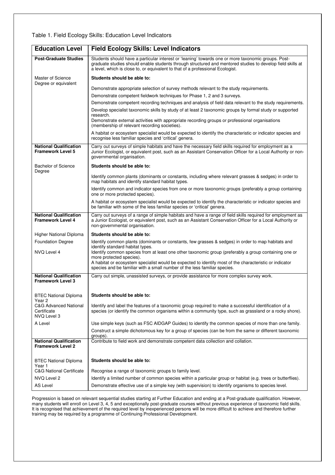## Table 1. Field Ecology Skills: Education Level Indicators

| <b>Education Level</b>                                         | <b>Field Ecology Skills: Level Indicators</b>                                                                                                                                                                                                                                                       |  |  |
|----------------------------------------------------------------|-----------------------------------------------------------------------------------------------------------------------------------------------------------------------------------------------------------------------------------------------------------------------------------------------------|--|--|
| <b>Post-Graduate Studies</b>                                   | Students should have a particular interest or 'leaning' towards one or more taxonomic groups. Post-<br>graduate studies should enable students through structured and mentored studies to develop field skills at<br>a level, which is close to, or equivalent to that of a professional Ecologist. |  |  |
| Master of Science<br>Degree or equivalent                      | Students should be able to:                                                                                                                                                                                                                                                                         |  |  |
|                                                                | Demonstrate appropriate selection of survey methods relevant to the study requirements.                                                                                                                                                                                                             |  |  |
|                                                                | Demonstrate competent fieldwork techniques for Phase 1, 2 and 3 surveys.                                                                                                                                                                                                                            |  |  |
|                                                                | Demonstrate competent recording techniques and analysis of field data relevant to the study requirements.                                                                                                                                                                                           |  |  |
|                                                                | Develop specialist taxonomic skills by study of at least 2 taxonomic groups by formal study or supported                                                                                                                                                                                            |  |  |
|                                                                | research.<br>Demonstrate external activities with appropriate recording groups or professional organisations<br>(membership of relevant recording societies).                                                                                                                                       |  |  |
|                                                                | A habitat or ecosystem specialist would be expected to identify the characteristic or indicator species and<br>recognise less familiar species and 'critical' genera.                                                                                                                               |  |  |
| <b>National Qualification</b><br><b>Framework Level 5</b>      | Carry out surveys of simple habitats and have the necessary field skills required for employment as a<br>Junior Ecologist, or equivalent post, such as an Assistant Conservation Officer for a Local Authority or non-<br>governmental organisation.                                                |  |  |
| <b>Bachelor of Science</b><br>Degree                           | Students should be able to:                                                                                                                                                                                                                                                                         |  |  |
|                                                                | Identify common plants (dominants or constants, including where relevant grasses & sedges) in order to<br>map habitats and identify standard habitat types.                                                                                                                                         |  |  |
|                                                                | Identify common and indicator species from one or more taxonomic groups (preferably a group containing<br>one or more protected species).                                                                                                                                                           |  |  |
|                                                                | A habitat or ecosystem specialist would be expected to identify the characteristic or indicator species and<br>be familiar with some of the less familiar species or 'critical' genera.                                                                                                             |  |  |
| <b>National Qualification</b><br><b>Framework Level 4</b>      | Carry out surveys of a range of simple habitats and have a range of field skills required for employment as<br>a Junior Ecologist, or equivalent post, such as an Assistant Conservation Officer for a Local Authority or<br>non-governmental organisation.                                         |  |  |
| Higher National Diploma                                        | Students should be able to:                                                                                                                                                                                                                                                                         |  |  |
| <b>Foundation Degree</b>                                       | Identify common plants (dominants or constants, few grasses & sedges) in order to map habitats and                                                                                                                                                                                                  |  |  |
| NVQ Level 4                                                    | identify standard habitat types.<br>Identify common species from at least one other taxonomic group (preferably a group containing one or                                                                                                                                                           |  |  |
|                                                                | more protected species).                                                                                                                                                                                                                                                                            |  |  |
|                                                                | A habitat or ecosystem specialist would be expected to identify most of the characteristic or indicator<br>species and be familiar with a small number of the less familiar species.                                                                                                                |  |  |
| <b>National Qualification</b><br><b>Framework Level 3</b>      | Carry out simple, unassisted surveys, or provide assistance for more complex survey work.                                                                                                                                                                                                           |  |  |
| <b>BTEC National Diploma</b><br>Year 2                         | Students should be able to:                                                                                                                                                                                                                                                                         |  |  |
| <b>C&amp;G Advanced National</b><br>Certificate<br>NVQ Level 3 | Identify and label the features of a taxonomic group required to make a successful identification of a<br>species (or identify the common organisms within a community type, such as grassland or a rocky shore).                                                                                   |  |  |
| A Level                                                        | Use simple keys (such as FSC AIDGAP Guides) to identify the common species of more than one family.                                                                                                                                                                                                 |  |  |
|                                                                | Construct a simple dichotomous key for a group of species (can be from the same or different taxonomic<br>groups).                                                                                                                                                                                  |  |  |
| <b>National Qualification</b><br><b>Framework Level 2</b>      | Contribute to field work and demonstrate competent data collection and collation.                                                                                                                                                                                                                   |  |  |
| <b>BTEC National Diploma</b><br>Year 1                         | Students should be able to:                                                                                                                                                                                                                                                                         |  |  |
| <b>C&amp;G National Certificate</b>                            | Recognise a range of taxonomic groups to family level.                                                                                                                                                                                                                                              |  |  |
| NVQ Level 2                                                    | Identify a limited number of common species within a particular group or habitat (e.g. trees or butterflies).                                                                                                                                                                                       |  |  |
| AS Level                                                       | Demonstrate effective use of a simple key (with supervision) to identify organisms to species level.                                                                                                                                                                                                |  |  |

Progression is based on relevant sequential studies starting at Further Education and ending at a Post-graduate qualification. However, many students will enroll on Level 3, 4, 5 and exceptionally post-graduate courses without previous experience of taxonomic field skills. It is recognised that achievement of the required level by inexperienced persons will be more difficult to achieve and therefore further training may be required by a programme of Continuing Professional Development.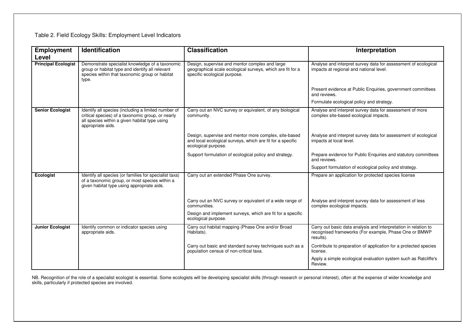## Table 2. Field Ecology Skills: Employment Level Indicators

| <b>Employment</b>          | Identification                                                                                                                                                                 | <b>Classification</b>                                                                                                                        | Interpretation                                                                                                                        |
|----------------------------|--------------------------------------------------------------------------------------------------------------------------------------------------------------------------------|----------------------------------------------------------------------------------------------------------------------------------------------|---------------------------------------------------------------------------------------------------------------------------------------|
| Level                      |                                                                                                                                                                                |                                                                                                                                              |                                                                                                                                       |
| <b>Principal Ecologist</b> | Demonstrate specialist knowledge of a taxonomic<br>group or habitat type and identify all relevant<br>species within that taxonomic group or habitat<br>type.                  | Design, supervise and mentor complex and large<br>geographical scale ecological surveys, which are fit for a<br>specific ecological purpose. | Analyse and interpret survey data for assessment of ecological<br>impacts at regional and national level.                             |
|                            |                                                                                                                                                                                |                                                                                                                                              | Present evidence at Public Enquiries, government committees<br>and reviews.                                                           |
|                            |                                                                                                                                                                                |                                                                                                                                              | Formulate ecological policy and strategy.                                                                                             |
| <b>Senior Ecologist</b>    | Identify all species (including a limited number of<br>critical species) of a taxonomic group, or nearly<br>all species within a given habitat type using<br>appropriate aids. | Carry out an NVC survey or equivalent, of any biological<br>community.                                                                       | Analyse and interpret survey data for assessment of more<br>complex site-based ecological impacts.                                    |
|                            |                                                                                                                                                                                | Design, supervise and mentor more complex, site-based<br>and local ecological surveys, which are fit for a specific<br>ecological purpose.   | Analyse and interpret survey data for assessment of ecological<br>impacts at local level.                                             |
|                            |                                                                                                                                                                                | Support formulation of ecological policy and strategy.                                                                                       | Prepare evidence for Public Enquiries and statutory committees<br>and reviews.                                                        |
|                            |                                                                                                                                                                                |                                                                                                                                              | Support formulation of ecological policy and strategy.                                                                                |
| Ecologist                  | Identify all species (or families for specialist taxa)<br>of a taxonomic group, or most species within a<br>given habitat type using appropriate aids.                         | Carry out an extended Phase One survey.                                                                                                      | Prepare an application for protected species license                                                                                  |
|                            |                                                                                                                                                                                | Carry out an NVC survey or equivalent of a wide range of<br>communities.                                                                     | Analyse and interpret survey data for assessment of less<br>complex ecological impacts.                                               |
|                            |                                                                                                                                                                                | Design and implement surveys, which are fit for a specific<br>ecological purpose.                                                            |                                                                                                                                       |
| <b>Junior Ecologist</b>    | Identify common or indicator species using<br>appropriate aids.                                                                                                                | Carry out habitat mapping (Phase One and/or Broad<br>Habitats).                                                                              | Carry out basic data analysis and interpretation in relation to<br>recognised frameworks (For example, Phase One or BMWP<br>results). |
|                            |                                                                                                                                                                                | Carry out basic and standard survey techniques such as a<br>population census of non-critical taxa.                                          | Contribute to preparation of application for a protected species<br>license.                                                          |
|                            |                                                                                                                                                                                |                                                                                                                                              | Apply a simple ecological evaluation system such as Ratcliffe's<br>Review.                                                            |

NB. Recognition of the role of a specialist ecologist is essential. Some ecologists will be developing specialist skills (through research or personal interest), often at the expense of wider knowledge and<br>skills, particul